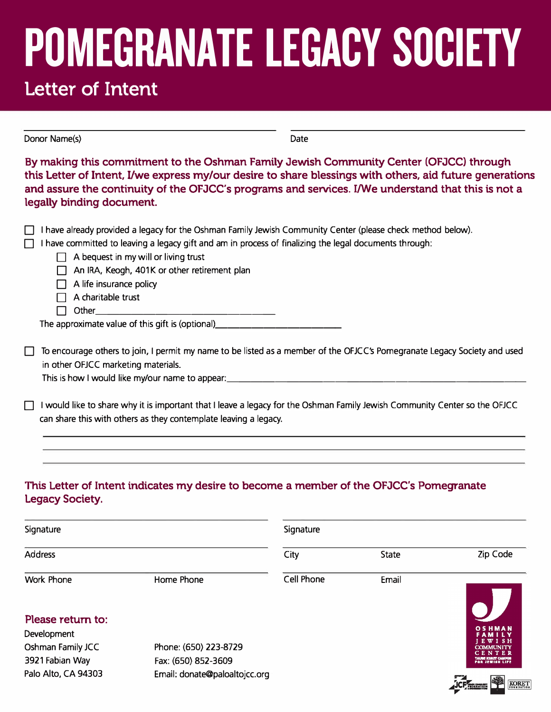# **POMEGRANATE LEGACY SOCIETY**

### **letter of Intent**

Donor Name(s) Donor Name(s)

**By making this commitment to the Oshman Family Jewish Community Center (OFJCC) through this letter of Intent,** *Uwe* **express my/our desire to share blessings with others, aid future generations and assure the continuity of the OFJCC's programs and services. I/We understand that this is not a legally binding document.** 

| I have already provided a legacy for the Oshman Family Jewish Community Center (please check method below).<br>I have committed to leaving a legacy gift and am in process of finalizing the legal documents through:<br>A bequest in my will or living trust<br>An IRA, Keogh, 401K or other retirement plan<br>A life insurance policy<br>A charitable trust<br>The approximate value of this gift is (optional)________________________________ |            |              |          |
|----------------------------------------------------------------------------------------------------------------------------------------------------------------------------------------------------------------------------------------------------------------------------------------------------------------------------------------------------------------------------------------------------------------------------------------------------|------------|--------------|----------|
| To encourage others to join, I permit my name to be listed as a member of the OFJCC's Pomegranate Legacy Society and used<br>⊔<br>in other OFJCC marketing materials.                                                                                                                                                                                                                                                                              |            |              |          |
| I would like to share why it is important that I leave a legacy for the Oshman Family Jewish Community Center so the OFJCC<br>$\mathsf{L}$<br>can share this with others as they contemplate leaving a legacy.                                                                                                                                                                                                                                     |            |              |          |
| This Letter of Intent indicates my desire to become a member of the OFJCC's Pomegranate<br>Legacy Society.                                                                                                                                                                                                                                                                                                                                         |            |              |          |
| Signature                                                                                                                                                                                                                                                                                                                                                                                                                                          | Signature  |              |          |
| <b>Address</b>                                                                                                                                                                                                                                                                                                                                                                                                                                     | City       | <b>State</b> | Zip Code |
| Home Phone<br>Work Phone                                                                                                                                                                                                                                                                                                                                                                                                                           | Cell Phone | Email        |          |

#### **Please return to:**

Development Oshman Family JCC 3921 Fabian Way Palo Alto, CA 94303

Phone: (650) 223-8729 Fax: (650) 852-3609 Email: [donate@paloaltojcc.org](mailto:mkracoff@paloaltojcc.org)